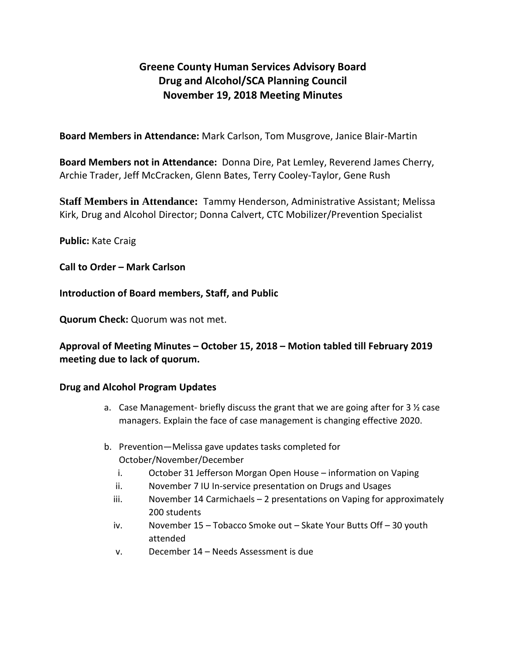## **Greene County Human Services Advisory Board Drug and Alcohol/SCA Planning Council November 19, 2018 Meeting Minutes**

**Board Members in Attendance:** Mark Carlson, Tom Musgrove, Janice Blair-Martin

**Board Members not in Attendance:** Donna Dire, Pat Lemley, Reverend James Cherry, Archie Trader, Jeff McCracken, Glenn Bates, Terry Cooley-Taylor, Gene Rush

**Staff Members in Attendance:** Tammy Henderson, Administrative Assistant; Melissa Kirk, Drug and Alcohol Director; Donna Calvert, CTC Mobilizer/Prevention Specialist

**Public:** Kate Craig

**Call to Order – Mark Carlson**

**Introduction of Board members, Staff, and Public**

**Quorum Check:** Quorum was not met.

**Approval of Meeting Minutes – October 15, 2018 – Motion tabled till February 2019 meeting due to lack of quorum.** 

## **Drug and Alcohol Program Updates**

- a. Case Management- briefly discuss the grant that we are going after for 3  $\frac{1}{2}$  case managers. Explain the face of case management is changing effective 2020.
- b. Prevention—Melissa gave updates tasks completed for October/November/December
	- i. October 31 Jefferson Morgan Open House information on Vaping
	- ii. November 7 IU In-service presentation on Drugs and Usages
	- iii. November 14 Carmichaels 2 presentations on Vaping for approximately 200 students
	- iv. November 15 Tobacco Smoke out Skate Your Butts Off 30 youth attended
	- v. December 14 Needs Assessment is due